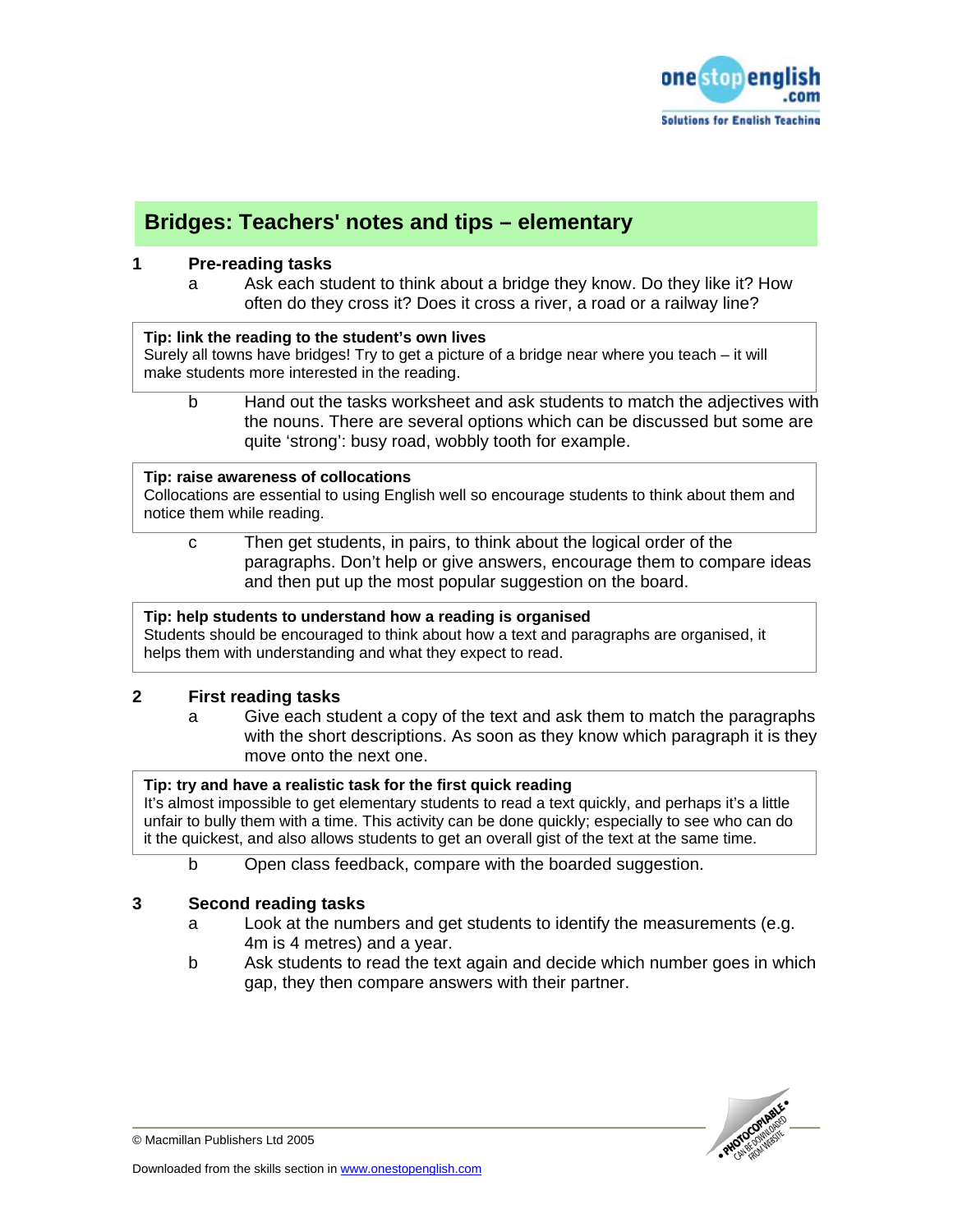

# **Bridges: Teachers' notes and tips – elementary**

# **1 Pre-reading tasks**

a Ask each student to think about a bridge they know. Do they like it? How often do they cross it? Does it cross a river, a road or a railway line?

### **Tip: link the reading to the student's own lives**

Surely all towns have bridges! Try to get a picture of a bridge near where you teach – it will make students more interested in the reading.

b Hand out the tasks worksheet and ask students to match the adjectives with the nouns. There are several options which can be discussed but some are quite 'strong': busy road, wobbly tooth for example.

#### **Tip: raise awareness of collocations**

Collocations are essential to using English well so encourage students to think about them and notice them while reading.

c Then get students, in pairs, to think about the logical order of the paragraphs. Don't help or give answers, encourage them to compare ideas and then put up the most popular suggestion on the board.

# **Tip: help students to understand how a reading is organised**

Students should be encouraged to think about how a text and paragraphs are organised, it helps them with understanding and what they expect to read.

# **2 First reading tasks**

a Give each student a copy of the text and ask them to match the paragraphs with the short descriptions. As soon as they know which paragraph it is they move onto the next one.

# **Tip: try and have a realistic task for the first quick reading**

It's almost impossible to get elementary students to read a text quickly, and perhaps it's a little unfair to bully them with a time. This activity can be done quickly; especially to see who can do it the quickest, and also allows students to get an overall gist of the text at the same time.

b Open class feedback, compare with the boarded suggestion.

# **3 Second reading tasks**

- a Look at the numbers and get students to identify the measurements (e.g. 4m is 4 metres) and a year.
- b Ask students to read the text again and decide which number goes in which gap, they then compare answers with their partner.



© Macmillan Publishers Ltd 2005